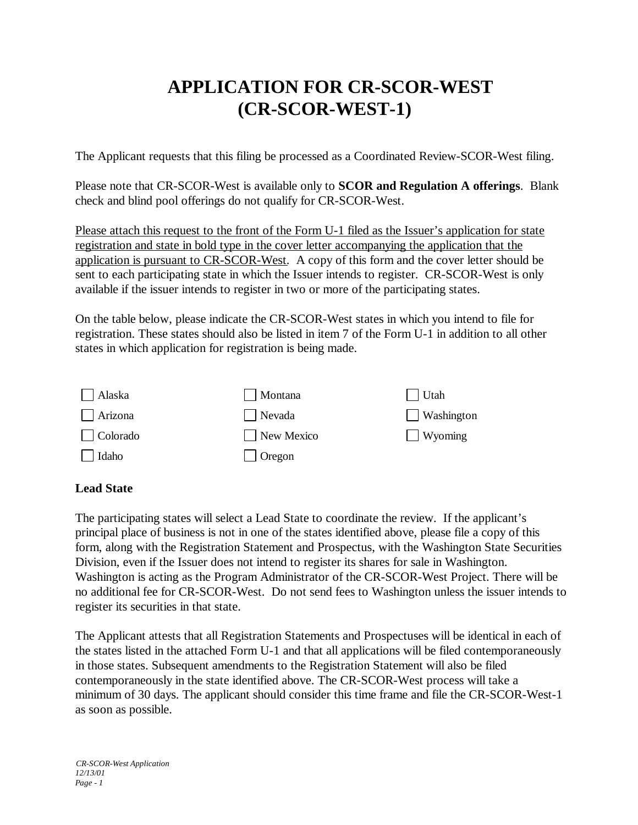## **APPLICATION FOR CR-SCOR-WEST (CR-SCOR-WEST-1)**

The Applicant requests that this filing be processed as a Coordinated Review-SCOR-West filing.

Please note that CR-SCOR-West is available only to **SCOR and Regulation A offerings**. Blank check and blind pool offerings do not qualify for CR-SCOR-West.

Please attach this request to the front of the Form U-1 filed as the Issuer's application for state registration and state in bold type in the cover letter accompanying the application that the application is pursuant to CR-SCOR-West. A copy of this form and the cover letter should be sent to each participating state in which the Issuer intends to register. CR-SCOR-West is only available if the issuer intends to register in two or more of the participating states.

On the table below, please indicate the CR-SCOR-West states in which you intend to file for registration. These states should also be listed in item 7 of the Form U-1 in addition to all other states in which application for registration is being made.

| Alaska          | Montana       | Utah           |
|-----------------|---------------|----------------|
| Arizona         | Nevada        | Washington     |
| $\Box$ Colorado | New Mexico    | $\Box$ Wyoming |
| Idaho           | $\Box$ Oregon |                |

## **Lead State**

The participating states will select a Lead State to coordinate the review. If the applicant's principal place of business is not in one of the states identified above, please file a copy of this form, along with the Registration Statement and Prospectus, with the Washington State Securities Division, even if the Issuer does not intend to register its shares for sale in Washington. Washington is acting as the Program Administrator of the CR-SCOR-West Project. There will be no additional fee for CR-SCOR-West. Do not send fees to Washington unless the issuer intends to register its securities in that state.

The Applicant attests that all Registration Statements and Prospectuses will be identical in each of the states listed in the attached Form U-1 and that all applications will be filed contemporaneously in those states. Subsequent amendments to the Registration Statement will also be filed contemporaneously in the state identified above. The CR-SCOR-West process will take a minimum of 30 days. The applicant should consider this time frame and file the CR-SCOR-West-1 as soon as possible.